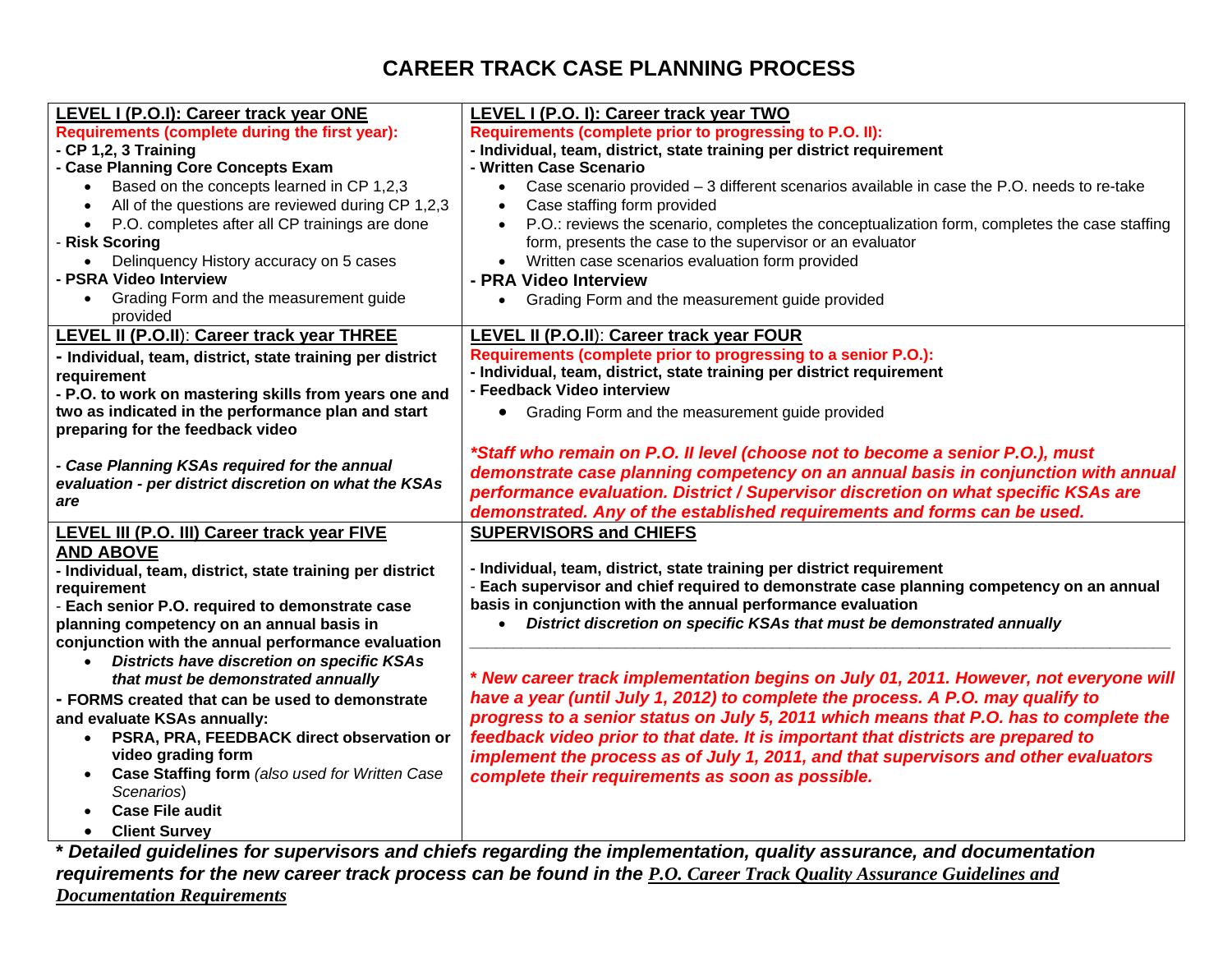# **CAREER TRACK CASE PLANNING PROCESS**

| LEVEL I (P.O.I): Career track year ONE                          | LEVEL I (P.O. I): Career track year TWO                                                                           |  |  |  |
|-----------------------------------------------------------------|-------------------------------------------------------------------------------------------------------------------|--|--|--|
| Requirements (complete during the first year):                  | Requirements (complete prior to progressing to P.O. II):                                                          |  |  |  |
| - CP 1,2, 3 Training                                            | - Individual, team, district, state training per district requirement                                             |  |  |  |
| - Case Planning Core Concepts Exam                              | - Written Case Scenario                                                                                           |  |  |  |
| Based on the concepts learned in CP 1,2,3<br>$\bullet$          | Case scenario provided - 3 different scenarios available in case the P.O. needs to re-take<br>$\bullet$           |  |  |  |
| All of the questions are reviewed during CP 1,2,3<br>$\bullet$  | Case staffing form provided                                                                                       |  |  |  |
| P.O. completes after all CP trainings are done<br>$\bullet$     | P.O.: reviews the scenario, completes the conceptualization form, completes the case staffing<br>$\bullet$        |  |  |  |
| - Risk Scoring                                                  | form, presents the case to the supervisor or an evaluator                                                         |  |  |  |
| Delinquency History accuracy on 5 cases<br>$\bullet$            | Written case scenarios evaluation form provided                                                                   |  |  |  |
| - PSRA Video Interview                                          | - PRA Video Interview                                                                                             |  |  |  |
| Grading Form and the measurement guide<br>$\bullet$<br>provided | Grading Form and the measurement guide provided<br>$\bullet$                                                      |  |  |  |
| <b>LEVEL II (P.O.II): Career track year THREE</b>               | LEVEL II (P.O.II): Career track year FOUR                                                                         |  |  |  |
| - Individual, team, district, state training per district       | Requirements (complete prior to progressing to a senior P.O.):                                                    |  |  |  |
| requirement                                                     | - Individual, team, district, state training per district requirement                                             |  |  |  |
| - P.O. to work on mastering skills from years one and           | - Feedback Video interview                                                                                        |  |  |  |
| two as indicated in the performance plan and start              | • Grading Form and the measurement guide provided                                                                 |  |  |  |
| preparing for the feedback video                                |                                                                                                                   |  |  |  |
|                                                                 | *Staff who remain on P.O. II level (choose not to become a senior P.O.), must                                     |  |  |  |
| - Case Planning KSAs required for the annual                    | demonstrate case planning competency on an annual basis in conjunction with annual                                |  |  |  |
| evaluation - per district discretion on what the KSAs           | performance evaluation. District / Supervisor discretion on what specific KSAs are                                |  |  |  |
| are                                                             | demonstrated. Any of the established requirements and forms can be used.                                          |  |  |  |
| LEVEL III (P.O. III) Career track year FIVE                     | <b>SUPERVISORS and CHIEFS</b>                                                                                     |  |  |  |
| <b>AND ABOVE</b>                                                |                                                                                                                   |  |  |  |
| - Individual, team, district, state training per district       | - Individual, team, district, state training per district requirement                                             |  |  |  |
| requirement                                                     | - Each supervisor and chief required to demonstrate case planning competency on an annual                         |  |  |  |
| - Each senior P.O. required to demonstrate case                 | basis in conjunction with the annual performance evaluation                                                       |  |  |  |
| planning competency on an annual basis in                       | District discretion on specific KSAs that must be demonstrated annually                                           |  |  |  |
| conjunction with the annual performance evaluation              |                                                                                                                   |  |  |  |
| <b>Districts have discretion on specific KSAs</b><br>$\bullet$  |                                                                                                                   |  |  |  |
| that must be demonstrated annually                              | * New career track implementation begins on July 01, 2011. However, not everyone will                             |  |  |  |
| - FORMS created that can be used to demonstrate                 | have a year (until July 1, 2012) to complete the process. A P.O. may qualify to                                   |  |  |  |
| and evaluate KSAs annually:                                     | progress to a senior status on July 5, 2011 which means that P.O. has to complete the                             |  |  |  |
| PSRA, PRA, FEEDBACK direct observation or<br>$\bullet$          | feedback video prior to that date. It is important that districts are prepared to                                 |  |  |  |
| video grading form                                              | implement the process as of July 1, 2011, and that supervisors and other evaluators                               |  |  |  |
| Case Staffing form (also used for Written Case<br>$\bullet$     | complete their requirements as soon as possible.                                                                  |  |  |  |
| Scenarios)                                                      |                                                                                                                   |  |  |  |
| <b>Case File audit</b>                                          |                                                                                                                   |  |  |  |
| <b>Client Survey</b><br>$\bullet$                               |                                                                                                                   |  |  |  |
|                                                                 | Detailed quidelines for supervisors and chiefs regarding the implementation, quality assurance, and documentation |  |  |  |

**\*** *Detailed guidelines for supervisors and chiefs regarding the implementation, quality assurance, and documentation requirements for the new career track process can be found in the P.O. Career Track Quality Assurance Guidelines and Documentation Requirements*